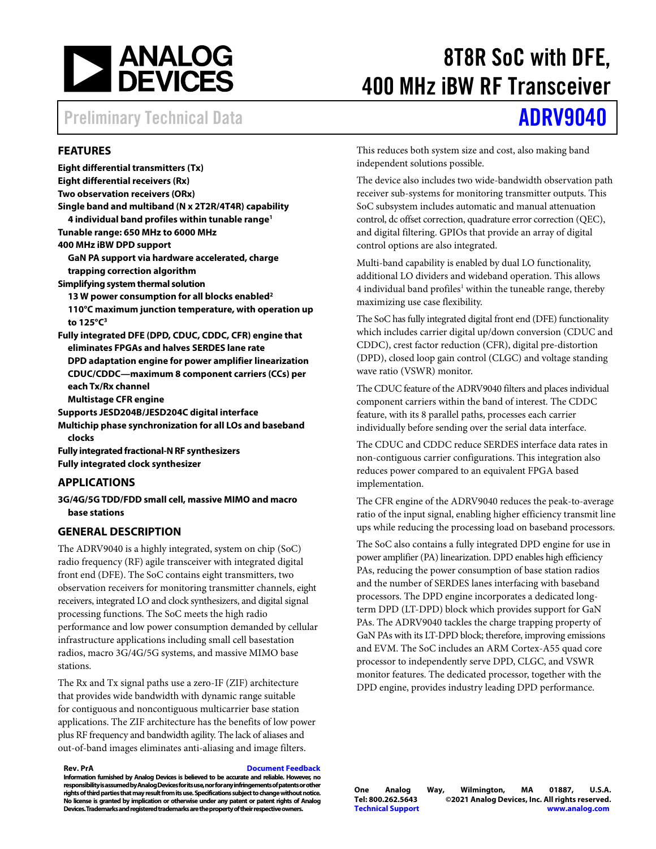

# 8T8R SoC with DFE, 400 MHz iBW RF Transceiver

## Preliminary Technical Data **[ADRV9040](https://www.analog.com/ADRV9040)**

### **FEATURES**

**Eight differential transmitters (Tx) Eight differential receivers (Rx) Two observation receivers (ORx) Single band and multiband (N x 2T2R/4T4R) capability [4 individual band profiles within tunable range1](#page-1-0) Tunable range: 650 MHz to 6000 MHz 400 MHz iBW DPD support GaN PA support via hardware accelerated, charge trapping correction algorithm Simplifying system thermal solution [13 W power consumption for all blocks enabled2](#page-1-0) 110°C maximum [junction temperature, with operation up](#page-1-0)  to 125°C3 Fully integrated DFE (DPD, CDUC, CDDC, CFR) engine that eliminates FPGAs and halves SERDES lane rate DPD adaptation engine for power amplifier linearization CDUC/CDDC—maximum 8 component carriers (CCs) per each Tx/Rx channel Multistage CFR engine Supports JESD204B/JESD204C digital interface Multichip phase synchronization for all LOs and baseband clocks Fully integrated fractional-NRF synthesizers Fully integrated clock synthesizer**

#### **APPLICATIONS**

**3G/4G/5G TDD/FDD small cell, massive MIMO and macro base stations**

### **GENERAL DESCRIPTION**

The ADRV9040 is a highly integrated, system on chip (SoC) radio frequency (RF) agile transceiver with integrated digital front end (DFE). The SoC contains eight transmitters, two observation receivers for monitoring transmitter channels, eight receivers, integrated LO and clock synthesizers, and digital signal processing functions. The SoC meets the high radio performance and low power consumption demanded by cellular infrastructure applications including small cell basestation radios, macro 3G/4G/5G systems, and massive MIMO base stations.

The Rx and Tx signal paths use a zero-IF (ZIF) architecture that provides wide bandwidth with dynamic range suitable for contiguous and noncontiguous multicarrier base station applications. The ZIF architecture has the benefits of low power plus RF frequency and bandwidth agility. The lack of aliases and out-of-band images eliminates anti-aliasing and image filters.

**Rev. PrA [Document Feedback](https://form.analog.com/Form_Pages/feedback/documentfeedback.aspx?doc=ADRV9040.pdf&product=ADRV9040&rev=D)**

**Information furnished by Analog Devices is believed to be accurate and reliable. However, no responsibility is assumedby Analog Devices for its use, nor for any infringements of patents or other rights of third parties that may result from its use. Specifications subject to change without notice. No license is granted by implication or otherwise under any patent or patent rights of Analog Devices. Trademarks and registered trademarks are the property of their respective owners.**

This reduces both system size and cost, also making band independent solutions possible.

The device also includes two wide-bandwidth observation path receiver sub-systems for monitoring transmitter outputs. This SoC subsystem includes automatic and manual attenuation control, dc offset correction, quadrature error correction (QEC), and digital filtering. GPIOs that provide an array of digital control options are also integrated.

Multi-band capability is enabled by dual LO functionality, additional LO dividers and wideband operation. This allows 4 individual band profiles<sup>1</sup> within the tuneable range, thereby maximizing use case flexibility.

The SoC has fully integrated digital front end (DFE) functionality which includes carrier digital up/down conversion (CDUC and CDDC), crest factor reduction (CFR), digital pre-distortion (DPD), closed loop gain control (CLGC) and voltage standing wave ratio (VSWR) monitor.

The CDUC feature of the ADRV9040 filters and places individual component carriers within the band of interest. The CDDC feature, with its 8 parallel paths, processes each carrier individually before sending over the serial data interface.

The CDUC and CDDC reduce SERDES interface data rates in non-contiguous carrier configurations. This integration also reduces power compared to an equivalent FPGA based implementation.

The CFR engine of the ADRV9040 reduces the peak-to-average ratio of the input signal, enabling higher efficiency transmit line ups while reducing the processing load on baseband processors.

The SoC also contains a fully integrated DPD engine for use in power amplifier (PA) linearization. DPD enables high efficiency PAs, reducing the power consumption of base station radios and the number of SERDES lanes interfacing with baseband processors. The DPD engine incorporates a dedicated longterm DPD (LT-DPD) block which provides support for GaN PAs. The ADRV9040 tackles the charge trapping property of GaN PAs with its LT-DPD block; therefore, improving emissions and EVM. The SoC includes an ARM Cortex-A55 quad core processor to independently serve DPD, CLGC, and VSWR monitor features. The dedicated processor, together with the DPD engine, provides industry leading DPD performance.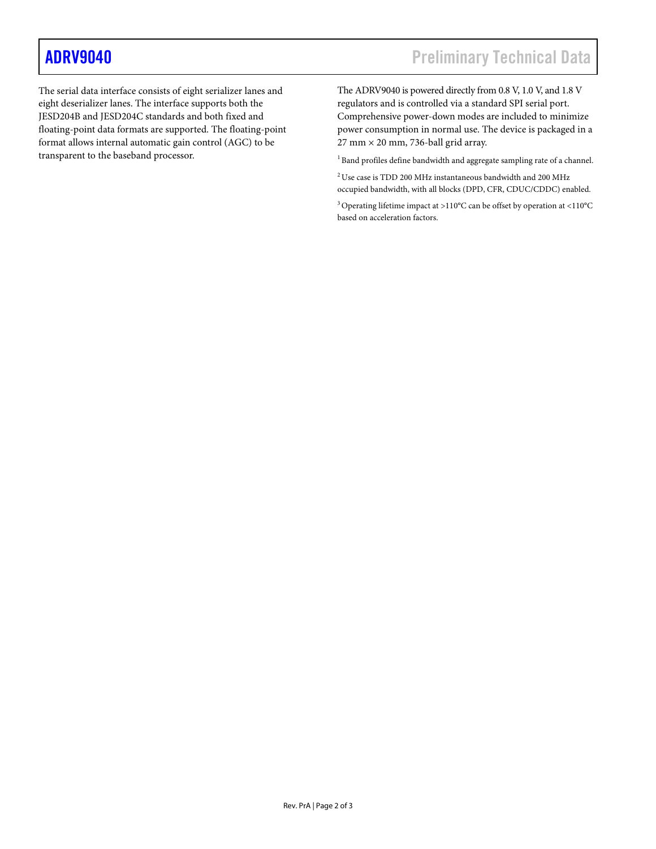<span id="page-1-0"></span>The serial data interface consists of eight serializer lanes and eight deserializer lanes. The interface supports both the JESD204B and JESD204C standards and both fixed and floating-point data formats are supported. The floating-point format allows internal automatic gain control (AGC) to be transparent to the baseband processor.

The ADRV9040 is powered directly from 0.8 V, 1.0 V, and 1.8 V regulators and is controlled via a standard SPI serial port. Comprehensive power-down modes are included to minimize power consumption in normal use. The device is packaged in a  $27$  mm  $\times$  20 mm, 736-ball grid array.

<sup>1</sup> Band profiles define bandwidth and aggregate sampling rate of a channel.

 $^2\rm{Use}$  case is TDD 200 MHz instantaneous bandwidth and 200 MHz occupied bandwidth, with all blocks (DPD, CFR, CDUC/CDDC) enabled.

3 Operating lifetime impact at >110°C can be offset by operation at <110°C based on acceleration factors.